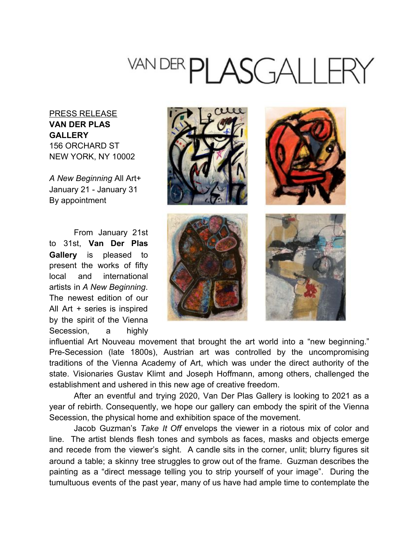## VAN DER PLASGALLERY

## PRESS RELEASE **VAN DER PLAS GALLERY** 156 ORCHARD ST NEW YORK, NY 10002

*A New Beginning* All Art+ January 21 - January 31 By appointment

From January 21st to 31st, **Van Der Plas Gallery** is pleased to present the works of fifty local and international artists in *A New Beginning*. The newest edition of our All Art + series is inspired by the spirit of the Vienna Secession, a highly



influential Art Nouveau movement that brought the art world into a "new beginning." Pre-Secession (late 1800s), Austrian art was controlled by the uncompromising traditions of the Vienna Academy of Art, which was under the direct authority of the state. Visionaries Gustav Klimt and Joseph Hoffmann, among others, challenged the establishment and ushered in this new age of creative freedom.

After an eventful and trying 2020, Van Der Plas Gallery is looking to 2021 as a year of rebirth. Consequently, we hope our gallery can embody the spirit of the Vienna Secession, the physical home and exhibition space of the movement.

Jacob Guzman's *Take It Off* envelops the viewer in a riotous mix of color and line. The artist blends flesh tones and symbols as faces, masks and objects emerge and recede from the viewer's sight. A candle sits in the corner, unlit; blurry figures sit around a table; a skinny tree struggles to grow out of the frame. Guzman describes the painting as a "direct message telling you to strip yourself of your image". During the tumultuous events of the past year, many of us have had ample time to contemplate the